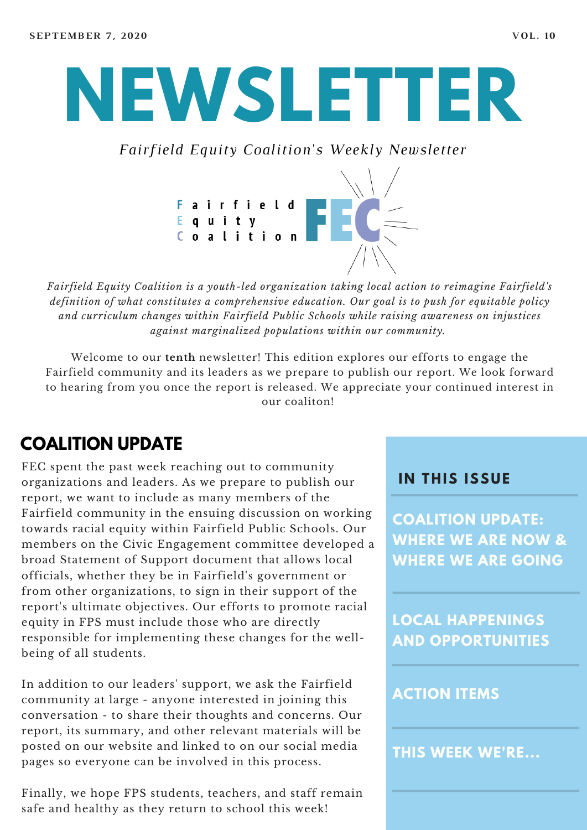# **NEWSLETTER**

*Fairfield Equity Coalition's Weekly Newsletter*



*Fairfield Equity Coalition is a youth-led organization taking local action to reimagine Fairfield's definition of what constitutes a comprehensive education. Our goal is to push for equitable policy and curriculum changes within Fairfield Public Schools while raising awareness on injustices against marginalized populations within our community.*

Welcome to our **tenth** newsletter! This edition explores our efforts to engage the Fairfield community and its leaders as we prepare to publish our report. We look forward to hearing from you once the report is released. We appreciate your continued interest in our coaliton!

## **COALITION UPDATE**

FEC spent the past week reaching out to community organizations and leaders. As we prepare to publish our report, we want to include as many members of the Fairfield community in the ensuing discussion on working towards racial equity within Fairfield Public Schools. Our members on the Civic Engagement committee developed a broad Statement of Support document that allows local officials, whether they be in Fairfield's government or from other organizations, to sign in their support of the report's ultimate objectives. Our efforts to promote racial equity in FPS must include those who are directly responsible for implementing these changes for the wellbeing of all students.

In addition to our leaders' support, we ask the Fairfield community at large - anyone interested in joining this conversation - to share their thoughts and concerns. Our report, its summary, and other relevant materials will be posted on our website and linked to on our social media pages so everyone can be involved in this process.

Finally, we hope FPS students, teachers, and staff remain safe and healthy as they return to school this week!

#### **I N THIS ISSUE**

**COALITION UPDATE: WHERE WE ARE NOW & WHERE WE ARE GOING**

**LOCAL HAPPENINGS AND OPPORTUNITIES**

#### **ACTION ITEMS**

**THIS WEEK WE'RE...**